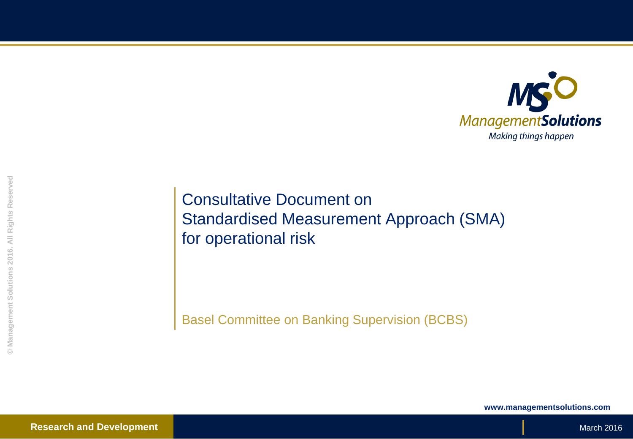

Consultative Document on Standardised Measurement Approach (SMA) for operational risk

Basel Committee on Banking Supervision (BCBS)

**www.managementsolutions.com**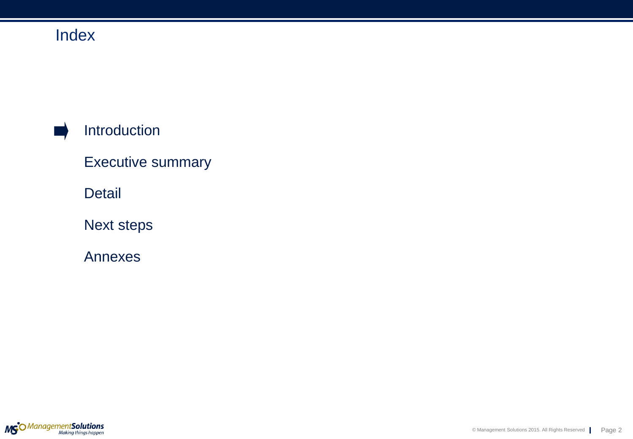## Introduction

Executive summary

Detail

Next steps

Annexes

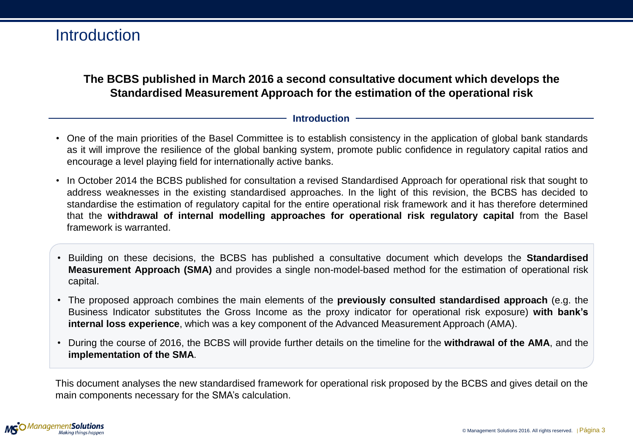### **Introduction**

### **The BCBS published in March 2016 a second consultative document which develops the Standardised Measurement Approach for the estimation of the operational risk**

#### **Introduction**

- One of the main priorities of the Basel Committee is to establish consistency in the application of global bank standards as it will improve the resilience of the global banking system, promote public confidence in regulatory capital ratios and encourage a level playing field for internationally active banks.
- In October 2014 the BCBS published for consultation a revised Standardised Approach for operational risk that sought to address weaknesses in the existing standardised approaches. In the light of this revision, the BCBS has decided to standardise the estimation of regulatory capital for the entire operational risk framework and it has therefore determined that the **withdrawal of internal modelling approaches for operational risk regulatory capital** from the Basel framework is warranted.
- Building on these decisions, the BCBS has published a consultative document which develops the **Standardised Measurement Approach (SMA)** and provides a single non-model-based method for the estimation of operational risk capital.
- The proposed approach combines the main elements of the **previously consulted standardised approach** (e.g. the Business Indicator substitutes the Gross Income as the proxy indicator for operational risk exposure) **with bank's internal loss experience**, which was a key component of the Advanced Measurement Approach (AMA).
- During the course of 2016, the BCBS will provide further details on the timeline for the **withdrawal of the AMA**, and the **implementation of the SMA**.

This document analyses the new standardised framework for operational risk proposed by the BCBS and gives detail on the main components necessary for the SMA's calculation.

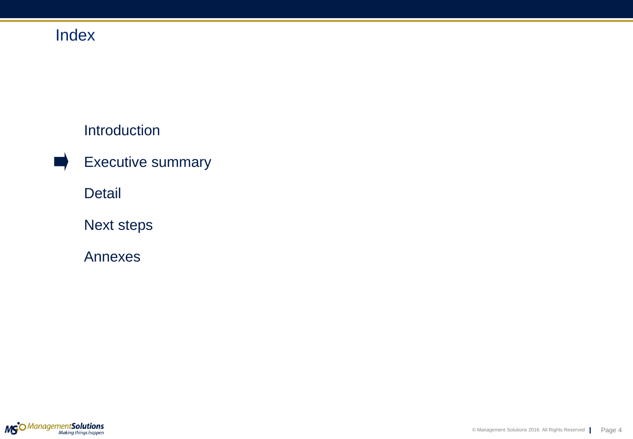## Introduction

Executive summary

Detail

Next steps

Annexes

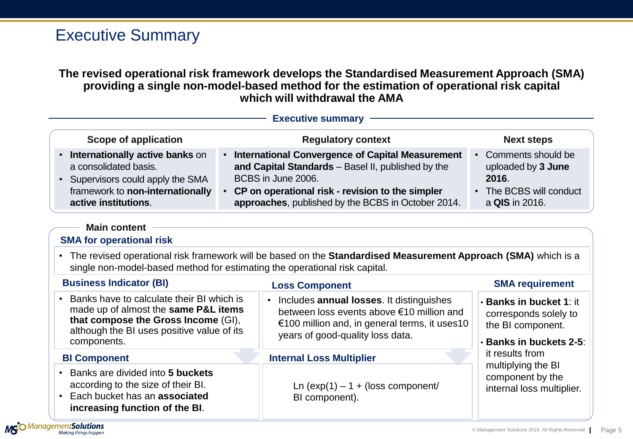## Executive Summary

### **The revised operational risk framework develops the Standardised Measurement Approach (SMA) providing a single non-model-based method for the estimation of operational risk capital which will withdrawal the AMA**

|                                                                                                                                                                                       | <b>Executive summary</b>                                                                                                                                                                                                                 |                                                                                                         |
|---------------------------------------------------------------------------------------------------------------------------------------------------------------------------------------|------------------------------------------------------------------------------------------------------------------------------------------------------------------------------------------------------------------------------------------|---------------------------------------------------------------------------------------------------------|
| Scope of application                                                                                                                                                                  | <b>Regulatory context</b>                                                                                                                                                                                                                | <b>Next steps</b>                                                                                       |
| Internationally active banks on<br>a consolidated basis.<br>Supervisors could apply the SMA<br>$\bullet$<br>framework to non-internationally<br>active institutions.                  | • International Convergence of Capital Measurement<br>and Capital Standards - Basel II, published by the<br>BCBS in June 2006.<br>CP on operational risk - revision to the simpler<br>approaches, published by the BCBS in October 2014. | Comments should be<br>uploaded by 3 June<br>2016.<br>The BCBS will conduct<br>a QIS in 2016.            |
| <b>Main content</b><br><b>SMA for operational risk</b>                                                                                                                                |                                                                                                                                                                                                                                          |                                                                                                         |
|                                                                                                                                                                                       | The revised operational risk framework will be based on the Standardised Measurement Approach (SMA) which is a<br>single non-model-based method for estimating the operational risk capital.                                             |                                                                                                         |
| <b>Business Indicator (BI)</b>                                                                                                                                                        | <b>Loss Component</b>                                                                                                                                                                                                                    | <b>SMA requirement</b>                                                                                  |
| Banks have to calculate their BI which is<br>made up of almost the same P&L items<br>that compose the Gross Income (GI),<br>although the BI uses positive value of its<br>components. | Includes annual losses. It distinguishes<br>$\bullet$<br>between loss events above €10 million and<br>€100 million and, in general terms, it uses10<br>years of good-quality loss data.                                                  | <b>· Banks in bucket 1: it</b><br>corresponds solely to<br>the BI component.<br>· Banks in buckets 2-5: |
| <b>BI Component</b>                                                                                                                                                                   | <b>Internal Loss Multiplier</b>                                                                                                                                                                                                          | it results from                                                                                         |
| Banks are divided into 5 buckets<br>according to the size of their BI.<br>Each bucket has an associated<br>increasing function of the BI.                                             | Ln $(exp(1) - 1 + (loss component)$<br>BI component).                                                                                                                                                                                    | multiplying the BI<br>component by the<br>internal loss multiplier.                                     |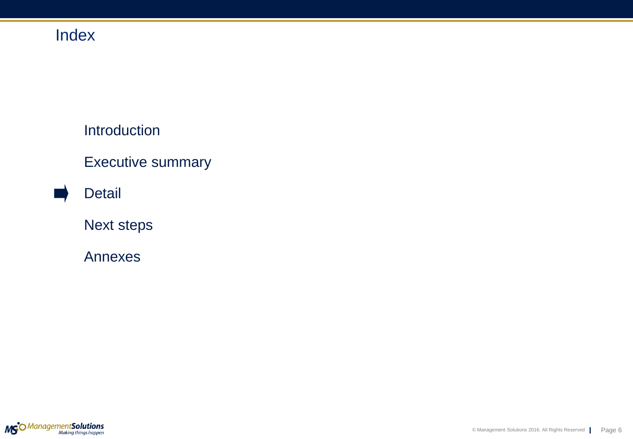Introduction

Executive summary

Detail

Next steps

Annexes

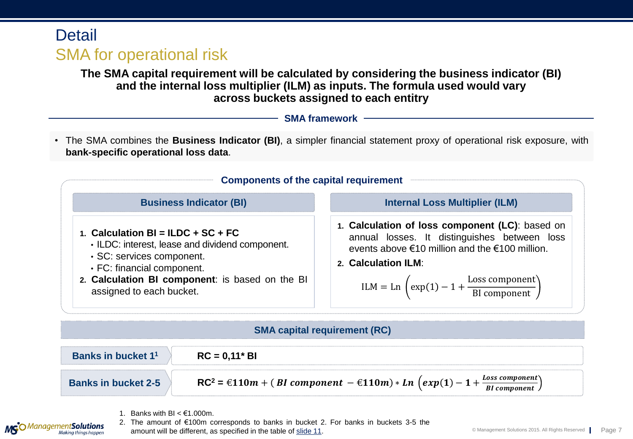## **Detail** SMA for operational risk

**The SMA capital requirement will be calculated by considering the business indicator (BI) and the internal loss multiplier (ILM) as inputs. The formula used would vary across buckets assigned to each entitry**

|  | <b>SMA framework</b> |
|--|----------------------|
|--|----------------------|

• The SMA combines the **Business Indicator (BI)**, a simpler financial statement proxy of operational risk exposure, with **bank-specific operational loss data**.



#### **SMA capital requirement (RC)**



1. Banks with BI  $\leq \text{\ensuremath{\mathsf{E}}}1.000$ m.

2. The amount of €100m corresponds to banks in bucket 2. For banks in buckets 3-5 the amount will be different, as specified in the table of [slide](#page-10-0) [11](#page-10-0).

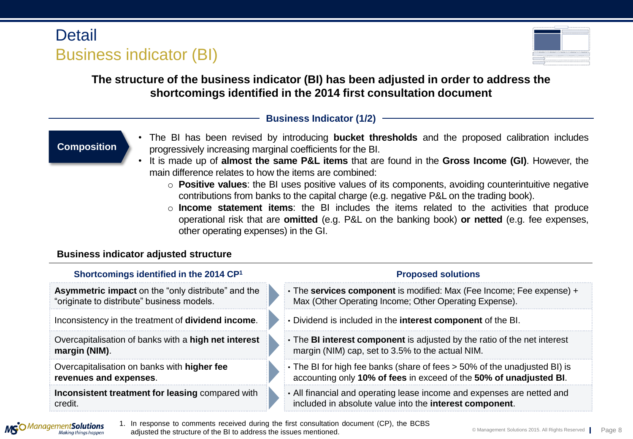# **Detail** Business indicator (BI)



### **The structure of the business indicator (BI) has been adjusted in order to address the shortcomings identified in the 2014 first consultation document**

### **Business Indicator (1/2)**

### **Composition**

- The BI has been revised by introducing **bucket thresholds** and the proposed calibration includes progressively increasing marginal coefficients for the BI.
- It is made up of **almost the same P&L items** that are found in the **Gross Income (GI)**. However, the main difference relates to how the items are combined:
	- o **Positive values**: the BI uses positive values of its components, avoiding counterintuitive negative contributions from banks to the capital charge (e.g. negative P&L on the trading book).
	- o **Income statement items**: the BI includes the items related to the activities that produce operational risk that are **omitted** (e.g. P&L on the banking book) **or netted** (e.g. fee expenses, other operating expenses) in the GI.

#### **Business indicator adjusted structure**

| <b>Proposed solutions</b>                                                                                                                       |
|-------------------------------------------------------------------------------------------------------------------------------------------------|
| • The services component is modified: Max (Fee Income; Fee expense) +<br>Max (Other Operating Income; Other Operating Expense).                 |
| . Dividend is included in the interest component of the BI.                                                                                     |
| • The <b>BI interest component</b> is adjusted by the ratio of the net interest<br>margin (NIM) cap, set to 3.5% to the actual NIM.             |
| • The BI for high fee banks (share of fees > 50% of the unadjusted BI) is<br>accounting only 10% of fees in exceed of the 50% of unadjusted BI. |
| • All financial and operating lease income and expenses are netted and<br>included in absolute value into the interest component.               |
|                                                                                                                                                 |

**MG**O Management **Solutions**<br>Making things happen

1. In response to comments received during the first consultation document (CP), the BCBS adjusted the structure of the BI to address the issues mentioned.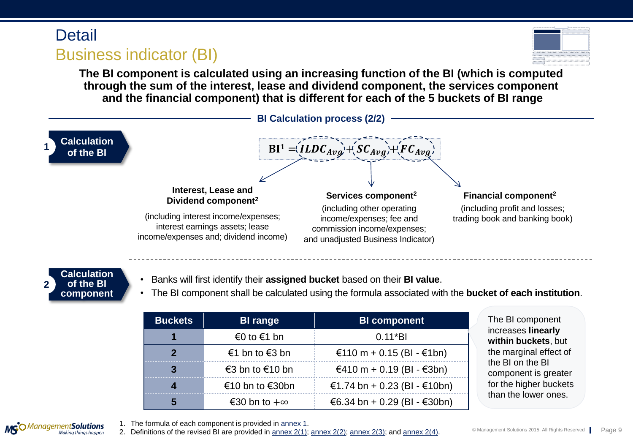## **Detail** Business indicator (BI)



**The BI component is calculated using an increasing function of the BI (which is computed through the sum of the interest, lease and dividend component, the services component and the financial component) that is different for each of the 5 buckets of BI range**





**MG**O Management **Solutions**<br>Making things happen

- Banks will first identify their **assigned bucket** based on their **BI value**.
- The BI component shall be calculated using the formula associated with the **bucket of each institution**.

| <b>Buckets</b> | <b>BI</b> range     | <b>BI</b> component          |
|----------------|---------------------|------------------------------|
|                | €0 to $€1$ bn       | $0.11*BI$                    |
|                | €1 bn to $€3$ bn    | €110 m + 0.15 (BI - €1bn)    |
|                | €3 bn to €10 bn     | €410 m + 0.19 (BI - €3bn)    |
|                | €10 bn to €30bn     | €1.74 bn + 0.23 (BI - €10bn) |
|                | €30 bn to $+\infty$ | €6.34 bn + 0.29 (BI - €30bn) |

The BI component increases **linearly within buckets**, but the marginal effect of the BI on the BI component is greater for the higher buckets than the lower ones.

1. The formula of each component is provided in [annex](#page-14-0) [1](#page-14-0).

2. Definitions of the revised BI are provided in [annex](#page-18-0)  $2(1)$ ; annex  $2(2)$ ; annex  $2(3)$ ; and annex  $2(4)$ .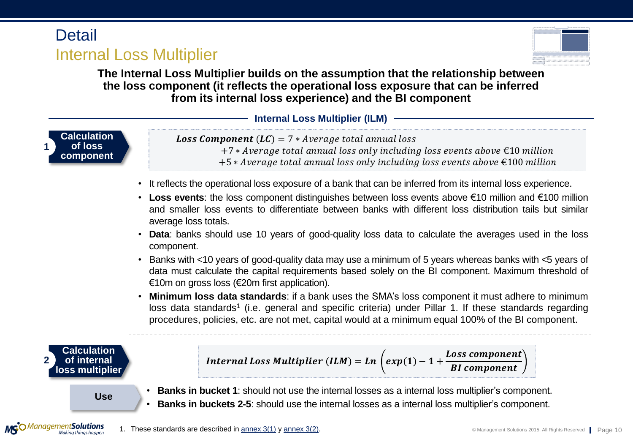## **Detail** Internal Loss Multiplier



**The Internal Loss Multiplier builds on the assumption that the relationship between the loss component (it reflects the operational loss exposure that can be inferred from its internal loss experience) and the BI component**

**Internal Loss Multiplier (ILM)**



**Loss Component** ( $LC$ ) = 7  $*$  Average total annual loss  $+7*$  Average total annual loss only including loss events above  $\epsilon$ 10 million  $+5 * Average total annual loss only including loss events above \text{ } \text{\ensuremath{\in}} 100 million$ 

- It reflects the operational loss exposure of a bank that can be inferred from its internal loss experience.
- **Loss events**: the loss component distinguishes between loss events above €10 million and €100 million and smaller loss events to differentiate between banks with different loss distribution tails but similar average loss totals.
- **Data**: banks should use 10 years of good-quality loss data to calculate the averages used in the loss component.
- Banks with <10 years of good-quality data may use a minimum of 5 years whereas banks with <5 years of data must calculate the capital requirements based solely on the BI component. Maximum threshold of €10m on gross loss (€20m first application).
- **Minimum loss data standards**: if a bank uses the SMA's loss component it must adhere to minimum loss data standards<sup>1</sup> (i.e. general and specific criteria) under Pillar 1. If these standards regarding procedures, policies, etc. are not met, capital would at a minimum equal 100% of the BI component.



 $M\mathsf{S}^{\bigcirc}$ *Management***Solutions** 



- **Use Banks in bucket <sup>1</sup>**: should not use the internal losses as <sup>a</sup> internal loss multiplier's component.
	- **Banks in buckets 2-5**: should use the internal losses as a internal loss multiplier's component.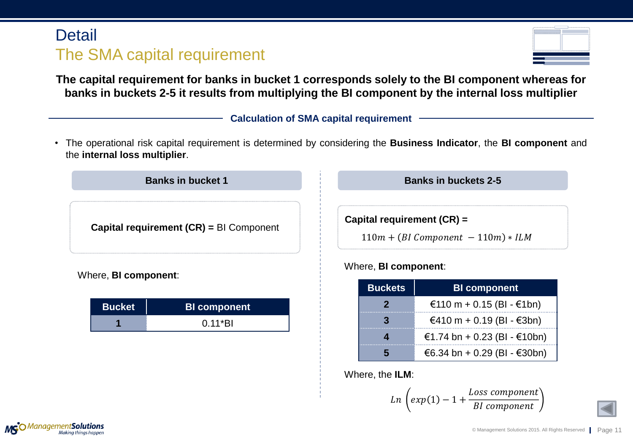# **Detail** The SMA capital requirement

| <b>STATE STATE STATE</b><br><b>NA 95</b> |  |
|------------------------------------------|--|
|                                          |  |
|                                          |  |
|                                          |  |
| ×<br>--                                  |  |
|                                          |  |
|                                          |  |
|                                          |  |

**The capital requirement for banks in bucket 1 corresponds solely to the BI component whereas for banks in buckets 2-5 it results from multiplying the BI component by the internal loss multiplier**

#### **Calculation of SMA capital requirement**

• The operational risk capital requirement is determined by considering the **Business Indicator**, the **BI component** and the **internal loss multiplier**.



Where, **BI component**:

| <b>Bucket</b> | <b>BI</b> component |
|---------------|---------------------|
|               | $0.11*$ BI          |

**Capital requirement (CR) =**

 $110m + (BI Component-110m) * ILM$ 

#### Where, **BI component**:

| <b>Buckets</b> | <b>BI</b> component          |
|----------------|------------------------------|
| 2              | €110 m + 0.15 (BI - €1bn)    |
|                | €410 m + 0.19 (BI - €3bn)    |
|                | €1.74 bn + 0.23 (BI - €10bn) |
|                | €6.34 bn + 0.29 (BI - €30bn) |

Where, the **ILM**:

 $\ln \vert exp(1) - 1 +$ Loss component **BI** component



<span id="page-10-0"></span>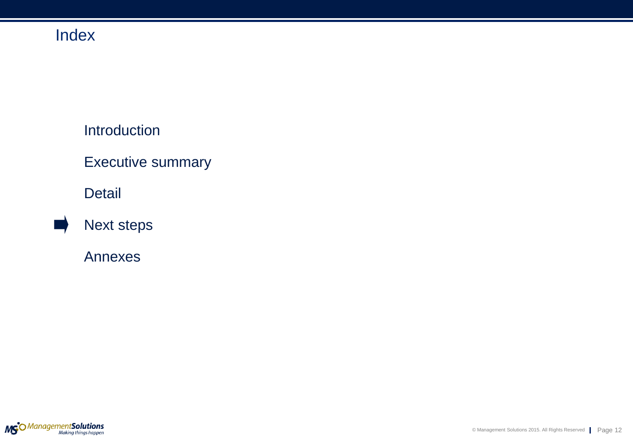### Introduction

## Executive summary

### Detail



### Annexes

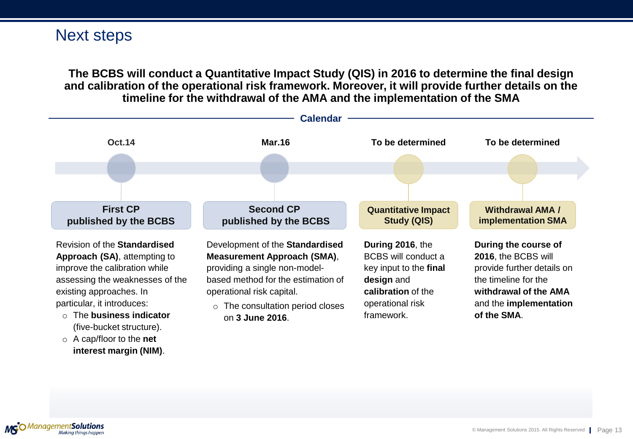### Next steps

**The BCBS will conduct a Quantitative Impact Study (QIS) in 2016 to determine the final design and calibration of the operational risk framework. Moreover, it will provide further details on the timeline for the withdrawal of the AMA and the implementation of the SMA**



MGO Management Solutions

**interest margin (NIM)**.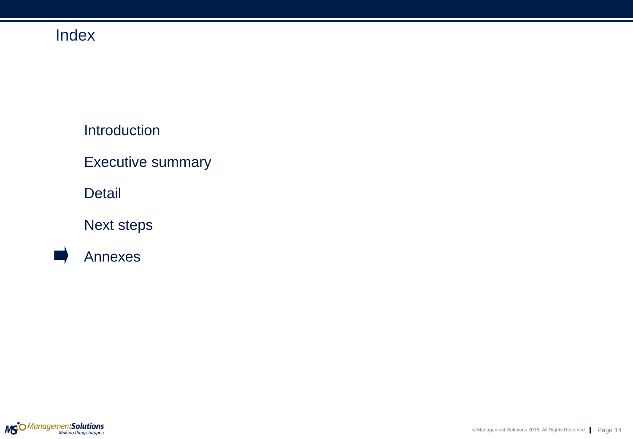Introduction

Executive summary

Detail

Next steps



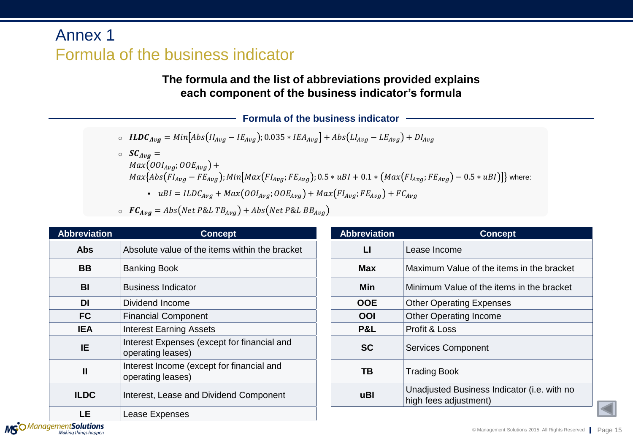# Annex 1 Formula of the business indicator

### **The formula and the list of abbreviations provided explains each component of the business indicator's formula**

**Formula of the business indicator**

$$
\circ \quad ILDC_{Avg} = Min[Abs(II_{Avg} - IE_{Avg}); 0.035 * IEA_{Avg}] + Abs(LI_{Avg} - LE_{Avg}) + DI_{Avg}
$$

 $\circ$   $SC_{Avg} =$  $Max(00I_{Avg}; 00E_{Avg}) +$  $Max\{Abs(FI_{Avg} - FE_{Avg})$ ;  $Min[Max(FI_{Avg}; FE_{Avg})$ ; 0.5 \*  $uBI + 0.1 * (Max(FI_{Avg}; FE_{Avg}) - 0.5 * uBI)]$ } where: •  $uBI = ILDC_{Avg} + Max(OOI_{Avg}; OOE_{Avg}) + Max(FI_{Avg}; FE_{Avg}) + FC_{Avg}$ 

 $\circ$   $FC_{Avg} = Abs(Net P&L TB_{Avg}) + Abs(Net P&L BB_{Avg})$ 

| <b>Abbreviation</b> | <b>Concept</b>                                                   | <b>Abbreviation</b> | <b>Concept</b>                                                       |
|---------------------|------------------------------------------------------------------|---------------------|----------------------------------------------------------------------|
| <b>Abs</b>          | Absolute value of the items within the bracket                   | $\mathsf{L}$        | Lease Income                                                         |
| <b>BB</b>           | <b>Banking Book</b>                                              | <b>Max</b>          | Maximum Value of the items in the bracket                            |
| <b>BI</b>           | <b>Business Indicator</b>                                        | Min                 | Minimum Value of the items in the bracket                            |
| DI                  | Dividend Income                                                  | <b>OOE</b>          | <b>Other Operating Expenses</b>                                      |
| <b>FC</b>           | <b>Financial Component</b>                                       | OOI                 | <b>Other Operating Income</b>                                        |
| <b>IEA</b>          | <b>Interest Earning Assets</b>                                   | P&L                 | Profit & Loss                                                        |
| IE.                 | Interest Expenses (except for financial and<br>operating leases) | <b>SC</b>           | <b>Services Component</b>                                            |
| $\mathbf{I}$        | Interest Income (except for financial and<br>operating leases)   | <b>TB</b>           | <b>Trading Book</b>                                                  |
| <b>ILDC</b>         | Interest, Lease and Dividend Component                           | uBl                 | Unadjusted Business Indicator (i.e. with no<br>high fees adjustment) |
| <b>LE</b>           | Lease Expenses                                                   |                     |                                                                      |

<span id="page-14-0"></span>MGO Management Solutions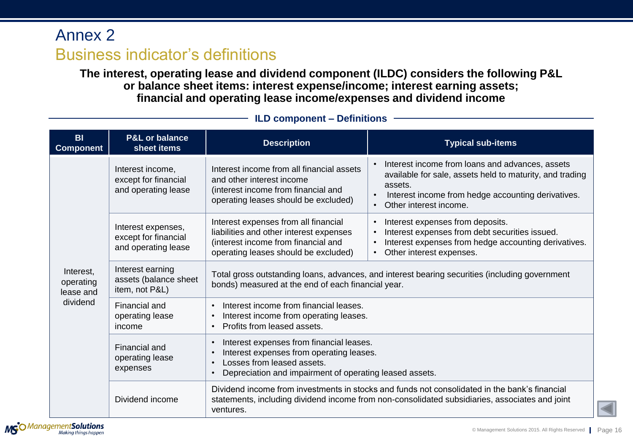**The interest, operating lease and dividend component (ILDC) considers the following P&L or balance sheet items: interest expense/income; interest earning assets; financial and operating lease income/expenses and dividend income** 

<span id="page-15-0"></span>

| <b>BI</b><br><b>Component</b>       | <b>P&amp;L or balance</b><br>sheet items                          | <b>Description</b>                                                                                                                                                                                                   | <b>Typical sub-items</b>                                                                                                                                                                               |
|-------------------------------------|-------------------------------------------------------------------|----------------------------------------------------------------------------------------------------------------------------------------------------------------------------------------------------------------------|--------------------------------------------------------------------------------------------------------------------------------------------------------------------------------------------------------|
|                                     | Interest income,<br>except for financial<br>and operating lease   | Interest income from all financial assets<br>and other interest income<br>(interest income from financial and<br>operating leases should be excluded)                                                                | Interest income from loans and advances, assets<br>available for sale, assets held to maturity, and trading<br>assets.<br>Interest income from hedge accounting derivatives.<br>Other interest income. |
|                                     | Interest expenses,<br>except for financial<br>and operating lease | Interest expenses from all financial<br>liabilities and other interest expenses<br>(interest income from financial and<br>operating leases should be excluded)                                                       | Interest expenses from deposits.<br>$\bullet$<br>Interest expenses from debt securities issued.<br>$\bullet$<br>Interest expenses from hedge accounting derivatives.<br>Other interest expenses.       |
| Interest,<br>operating<br>lease and | Interest earning<br>assets (balance sheet<br>item, not P&L)       | bonds) measured at the end of each financial year.                                                                                                                                                                   | Total gross outstanding loans, advances, and interest bearing securities (including government                                                                                                         |
| dividend                            | Financial and<br>operating lease<br>income                        | Interest income from financial leases.<br>$\bullet$<br>Interest income from operating leases.<br>Profits from leased assets.                                                                                         |                                                                                                                                                                                                        |
|                                     | Financial and<br>operating lease<br>expenses                      | Interest expenses from financial leases.<br>$\bullet$<br>Interest expenses from operating leases.<br>$\bullet$<br>Losses from leased assets.<br>$\bullet$<br>Depreciation and impairment of operating leased assets. |                                                                                                                                                                                                        |
|                                     | Dividend income                                                   | ventures.                                                                                                                                                                                                            | Dividend income from investments in stocks and funds not consolidated in the bank's financial<br>statements, including dividend income from non-consolidated subsidiaries, associates and joint        |

#### **ILD component – Definitions**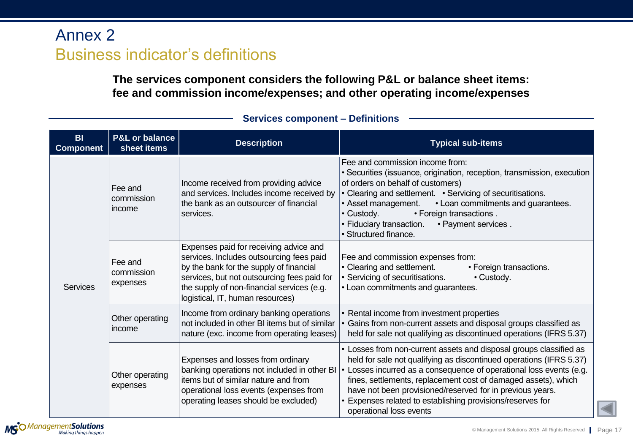**The services component considers the following P&L or balance sheet items: fee and commission income/expenses; and other operating income/expenses**

| <b>BI</b><br><b>Component</b> | <b>P&amp;L or balance</b><br>sheet items | <b>Description</b>                                                                                                                                                                                                                                             | <b>Typical sub-items</b>                                                                                                                                                                                                                                                                                                                                                                                                                 |
|-------------------------------|------------------------------------------|----------------------------------------------------------------------------------------------------------------------------------------------------------------------------------------------------------------------------------------------------------------|------------------------------------------------------------------------------------------------------------------------------------------------------------------------------------------------------------------------------------------------------------------------------------------------------------------------------------------------------------------------------------------------------------------------------------------|
| <b>Services</b>               | Fee and<br>commission<br>income          | Income received from providing advice<br>and services. Includes income received by<br>the bank as an outsourcer of financial<br>services.                                                                                                                      | Fee and commission income from:<br>• Securities (issuance, origination, reception, transmission, execution<br>of orders on behalf of customers)<br>• Clearing and settlement. • Servicing of securitisations.<br>• Asset management.<br>• Loan commitments and guarantees.<br>• Custody.<br>• Foreign transactions.<br>• Fiduciary transaction.<br>• Payment services.<br>· Structured finance.                                          |
|                               | Fee and<br>commission<br>expenses        | Expenses paid for receiving advice and<br>services. Includes outsourcing fees paid<br>by the bank for the supply of financial<br>services, but not outsourcing fees paid for<br>the supply of non-financial services (e.g.<br>logistical, IT, human resources) | Fee and commission expenses from:<br>• Clearing and settlement.<br>• Foreign transactions.<br>• Servicing of securitisations.<br>• Custody.<br>• Loan commitments and guarantees.                                                                                                                                                                                                                                                        |
|                               | Other operating<br>income                | Income from ordinary banking operations<br>not included in other BI items but of similar<br>nature (exc. income from operating leases)                                                                                                                         | • Rental income from investment properties<br>Gains from non-current assets and disposal groups classified as<br>held for sale not qualifying as discontinued operations (IFRS 5.37)                                                                                                                                                                                                                                                     |
|                               | Other operating<br>expenses              | Expenses and losses from ordinary<br>banking operations not included in other BI<br>items but of similar nature and from<br>operational loss events (expenses from<br>operating leases should be excluded)                                                     | • Losses from non-current assets and disposal groups classified as<br>held for sale not qualifying as discontinued operations (IFRS 5.37)<br>• Losses incurred as a consequence of operational loss events (e.g.<br>fines, settlements, replacement cost of damaged assets), which<br>have not been provisioned/reserved for in previous years.<br>• Expenses related to establishing provisions/reserves for<br>operational loss events |

#### **Services component – Definitions**

<span id="page-16-0"></span>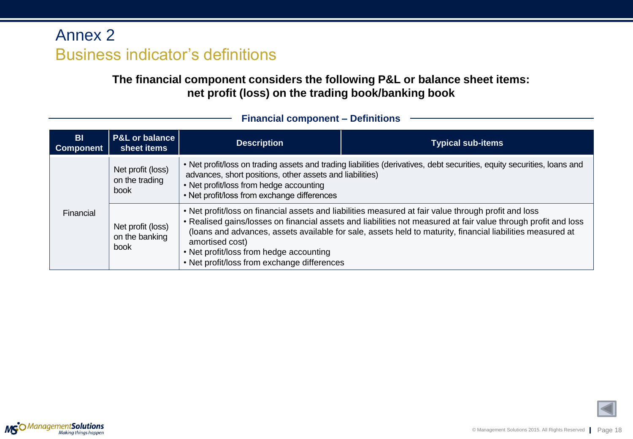**The financial component considers the following P&L or balance sheet items: net profit (loss) on the trading book/banking book**

| B <sub>l</sub><br><b>Component</b> | <b>P&amp;L or balance</b><br>sheet items    | <b>Description</b>                                                                                                                                 | <b>Typical sub-items</b>                                                                                                                                                                                                                                                                                                             |
|------------------------------------|---------------------------------------------|----------------------------------------------------------------------------------------------------------------------------------------------------|--------------------------------------------------------------------------------------------------------------------------------------------------------------------------------------------------------------------------------------------------------------------------------------------------------------------------------------|
|                                    | Net profit (loss)<br>on the trading<br>book | advances, short positions, other assets and liabilities)<br>• Net profit/loss from hedge accounting<br>• Net profit/loss from exchange differences | • Net profit/loss on trading assets and trading liabilities (derivatives, debt securities, equity securities, loans and                                                                                                                                                                                                              |
| Financial<br>book                  | Net profit (loss)<br>on the banking         | amortised cost)<br>• Net profit/loss from hedge accounting<br>• Net profit/loss from exchange differences                                          | . Net profit/loss on financial assets and liabilities measured at fair value through profit and loss<br>. Realised gains/losses on financial assets and liabilities not measured at fair value through profit and loss<br>(loans and advances, assets available for sale, assets held to maturity, financial liabilities measured at |

#### **Financial component – Definitions**

<span id="page-17-0"></span>

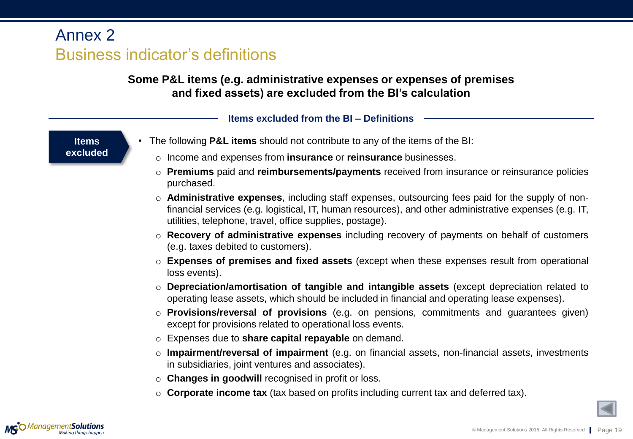### **Some P&L items (e.g. administrative expenses or expenses of premises and fixed assets) are excluded from the BI's calculation**

#### **Items excluded from the BI – Definitions**

**Items excluded**

- The following **P&L items** should not contribute to any of the items of the BI:
	- o Income and expenses from **insurance** or **reinsurance** businesses.
	- o **Premiums** paid and **reimbursements/payments** received from insurance or reinsurance policies purchased.
	- o **Administrative expenses**, including staff expenses, outsourcing fees paid for the supply of nonfinancial services (e.g. logistical, IT, human resources), and other administrative expenses (e.g. IT, utilities, telephone, travel, office supplies, postage).
	- o **Recovery of administrative expenses** including recovery of payments on behalf of customers (e.g. taxes debited to customers).
	- o **Expenses of premises and fixed assets** (except when these expenses result from operational loss events).
	- o **Depreciation/amortisation of tangible and intangible assets** (except depreciation related to operating lease assets, which should be included in financial and operating lease expenses).
	- o **Provisions/reversal of provisions** (e.g. on pensions, commitments and guarantees given) except for provisions related to operational loss events.
	- o Expenses due to **share capital repayable** on demand.
	- o **Impairment/reversal of impairment** (e.g. on financial assets, non-financial assets, investments in subsidiaries, joint ventures and associates).
	- o **Changes in goodwill** recognised in profit or loss.
	- o **Corporate income tax** (tax based on profits including current tax and deferred tax).

<span id="page-18-0"></span>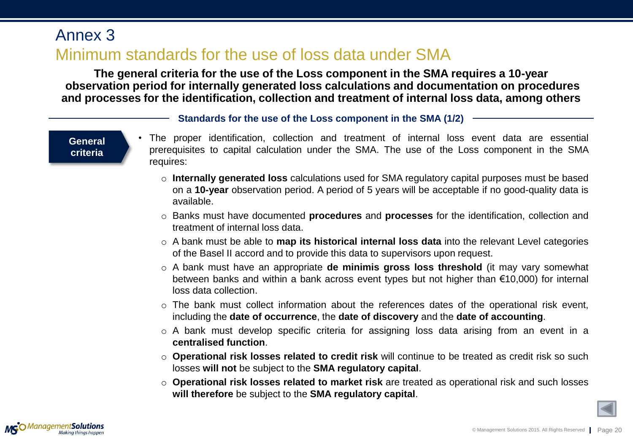## Annex 3

## Minimum standards for the use of loss data under SMA

**The general criteria for the use of the Loss component in the SMA requires a 10-year observation period for internally generated loss calculations and documentation on procedures and processes for the identification, collection and treatment of internal loss data, among others**

**Standards for the use of the Loss component in the SMA (1/2)**

**General criteria**

- The proper identification, collection and treatment of internal loss event data are essential prerequisites to capital calculation under the SMA. The use of the Loss component in the SMA requires:
	- o **Internally generated loss** calculations used for SMA regulatory capital purposes must be based on a **10-year** observation period. A period of 5 years will be acceptable if no good-quality data is available.
	- o Banks must have documented **procedures** and **processes** for the identification, collection and treatment of internal loss data.
	- o A bank must be able to **map its historical internal loss data** into the relevant Level categories of the Basel II accord and to provide this data to supervisors upon request.
	- o A bank must have an appropriate **de minimis gross loss threshold** (it may vary somewhat between banks and within a bank across event types but not higher than €10,000) for internal loss data collection.
	- o The bank must collect information about the references dates of the operational risk event, including the **date of occurrence**, the **date of discovery** and the **date of accounting**.
	- $\circ$  A bank must develop specific criteria for assigning loss data arising from an event in a **centralised function**.
	- o **Operational risk losses related to credit risk** will continue to be treated as credit risk so such losses **will not** be subject to the **SMA regulatory capital**.
	- o **Operational risk losses related to market risk** are treated as operational risk and such losses **will therefore** be subject to the **SMA regulatory capital**.



<span id="page-19-0"></span>